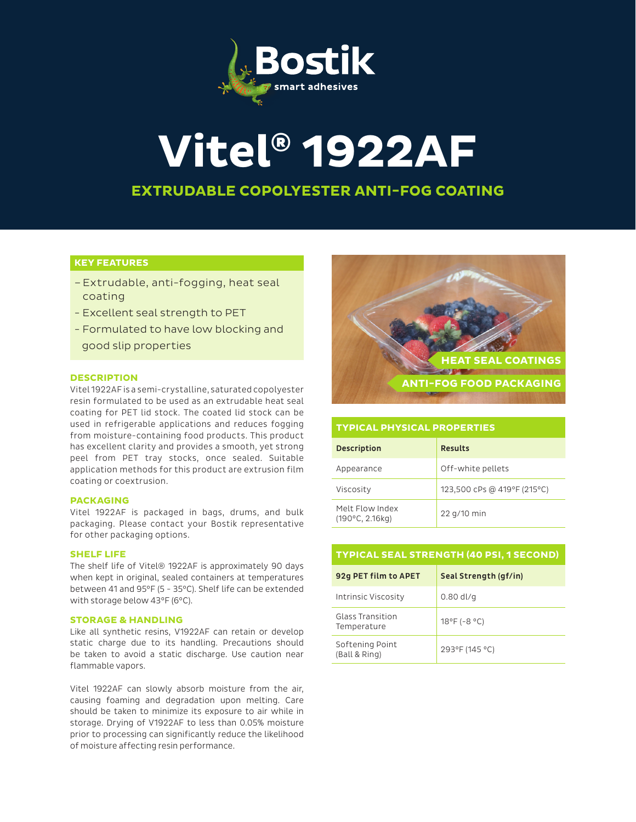

# **Vitel® 1922AF**

## **EXTRUDABLE COPOLYESTER ANTI-FOG COATING**

## **KEY FEATURES**

- –Extrudable, anti-fogging, heat seal coating
- Excellent seal strength to PET
- Formulated to have low blocking and good slip properties

## **DESCRIPTION**

Vitel 1922AF is a semi-crystalline, saturated copolyester resin formulated to be used as an extrudable heat seal coating for PET lid stock. The coated lid stock can be used in refrigerable applications and reduces fogging from moisture-containing food products. This product has excellent clarity and provides a smooth, yet strong peel from PET tray stocks, once sealed. Suitable application methods for this product are extrusion film coating or coextrusion.

## **PACKAGING**

Vitel 1922AF is packaged in bags, drums, and bulk packaging. Please contact your Bostik representative for other packaging options.

## **SHELF LIFE**

The shelf life of Vitel® 1922AF is approximately 90 days when kept in original, sealed containers at temperatures between 41 and 95°F (5 - 35°C). Shelf life can be extended with storage below 43°F (6°C).

## **STORAGE & HANDLING**

Like all synthetic resins, V1922AF can retain or develop static charge due to its handling. Precautions should be taken to avoid a static discharge. Use caution near flammable vapors.

Vitel 1922AF can slowly absorb moisture from the air, causing foaming and degradation upon melting. Care should be taken to minimize its exposure to air while in storage. Drying of V1922AF to less than 0.05% moisture prior to processing can significantly reduce the likelihood of moisture affecting resin performance.



## **TYPICAL PHYSICAL PROPERTIES**

| <b>Description</b>                          | <b>Results</b>              |
|---------------------------------------------|-----------------------------|
| Appearance                                  | Off-white pellets           |
| Viscosity                                   | 123,500 cPs @ 419°F (215°C) |
| Melt Flow Index<br>$(190^{\circ}C, 2.16kg)$ | 22 g/10 min                 |

## **TYPICAL SEAL STRENGTH (40 PSI, 1 SECOND)** 92g PET film to APET Seal Strength (gf/in)

| Intrinsic Viscosity              | $0.80$ dl/g                      |
|----------------------------------|----------------------------------|
| Glass Transition<br>Temperature  | $18^{\circ}$ F (-8 $^{\circ}$ C) |
| Softening Point<br>(Ball & Ring) | 293°F (145 °C)                   |